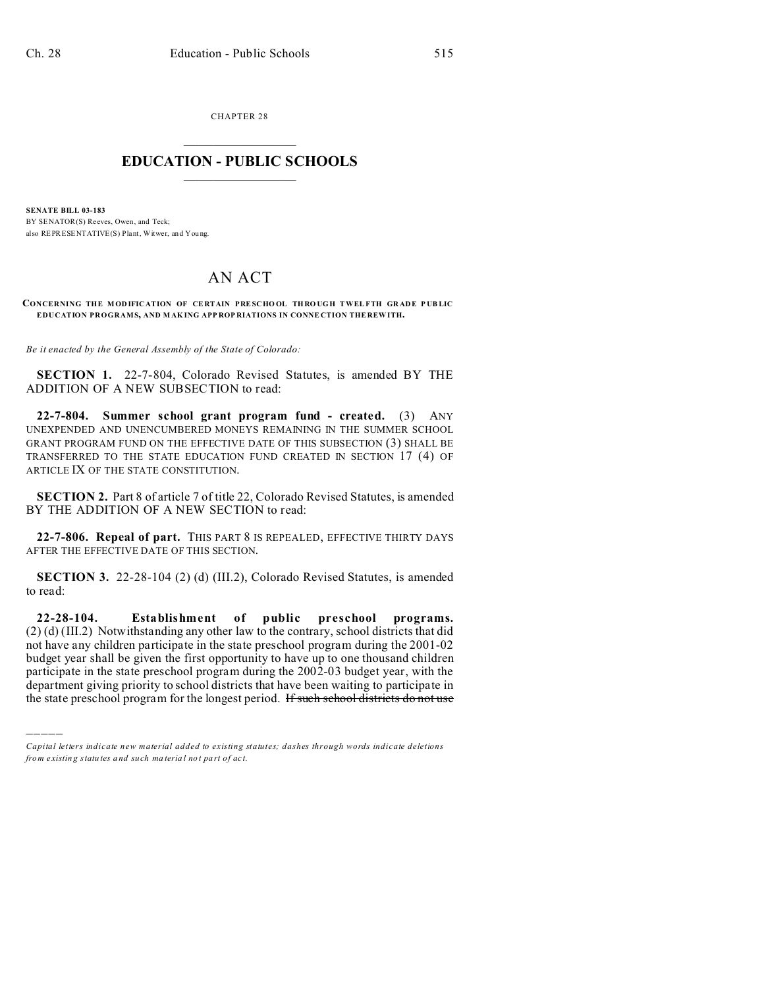)))))

CHAPTER 28  $\overline{\phantom{a}}$  , where  $\overline{\phantom{a}}$ 

## **EDUCATION - PUBLIC SCHOOLS**  $\_$   $\_$   $\_$   $\_$   $\_$   $\_$   $\_$   $\_$   $\_$

**SENATE BILL 03-183** BY SENATOR(S) Reeves, Owen, and Teck; also REPRESENTATIVE(S) Plant, Witwer, and You ng.

# AN ACT

**CONCERNING THE M OD IFIC ATION OF CE RTAIN PRESCHO OL THRO UG H TWELFTH GR ADE P UB LIC EDUCATION PROGRAMS, AND MAK ING APP ROP RIATIONS IN CONNE CTION THE REW ITH.**

*Be it enacted by the General Assembly of the State of Colorado:*

**SECTION 1.** 22-7-804, Colorado Revised Statutes, is amended BY THE ADDITION OF A NEW SUBSECTION to read:

**22-7-804. Summer school grant program fund - created.** (3) ANY UNEXPENDED AND UNENCUMBERED MONEYS REMAINING IN THE SUMMER SCHOOL GRANT PROGRAM FUND ON THE EFFECTIVE DATE OF THIS SUBSECTION (3) SHALL BE TRANSFERRED TO THE STATE EDUCATION FUND CREATED IN SECTION 17 (4) OF ARTICLE IX OF THE STATE CONSTITUTION.

**SECTION 2.** Part 8 of article 7 of title 22, Colorado Revised Statutes, is amended BY THE ADDITION OF A NEW SECTION to read:

**22-7-806. Repeal of part.** THIS PART 8 IS REPEALED, EFFECTIVE THIRTY DAYS AFTER THE EFFECTIVE DATE OF THIS SECTION.

**SECTION 3.** 22-28-104 (2) (d) (III.2), Colorado Revised Statutes, is amended to read:

**22-28-104. Establishment of public preschool programs.** (2) (d) (III.2) Notwithstanding any other law to the contrary, school districts that did not have any children participate in the state preschool program during the 2001-02 budget year shall be given the first opportunity to have up to one thousand children participate in the state preschool program during the 2002-03 budget year, with the department giving priority to school districts that have been waiting to participate in the state preschool program for the longest period. If such school districts do not use

*Capital letters indicate new material added to existing statutes; dashes through words indicate deletions from e xistin g statu tes a nd such ma teria l no t pa rt of ac t.*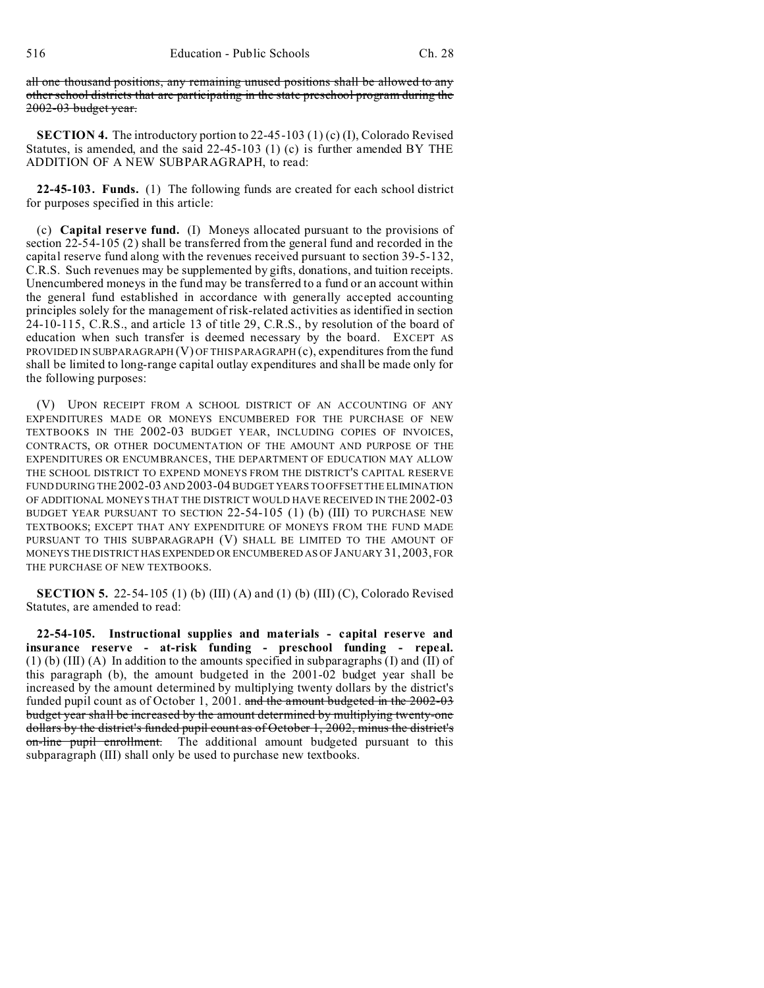all one thousand positions, any remaining unused positions shall be allowed to any other school districts that are participating in the state preschool program during the 2002-03 budget year.

**SECTION 4.** The introductory portion to 22-45-103 (1) (c) (I), Colorado Revised Statutes, is amended, and the said 22-45-103 (1) (c) is further amended BY THE ADDITION OF A NEW SUBPARAGRAPH, to read:

**22-45-103. Funds.** (1) The following funds are created for each school district for purposes specified in this article:

(c) **Capital reserve fund.** (I) Moneys allocated pursuant to the provisions of section 22-54-105 (2) shall be transferred from the general fund and recorded in the capital reserve fund along with the revenues received pursuant to section 39-5-132, C.R.S. Such revenues may be supplemented by gifts, donations, and tuition receipts. Unencumbered moneys in the fund may be transferred to a fund or an account within the general fund established in accordance with generally accepted accounting principles solely for the management of risk-related activities as identified in section 24-10-115, C.R.S., and article 13 of title 29, C.R.S., by resolution of the board of education when such transfer is deemed necessary by the board. EXCEPT AS PROVIDED IN SUBPARAGRAPH  $(V)$  OF THIS PARAGRAPH  $(c)$ , expenditures from the fund shall be limited to long-range capital outlay expenditures and shall be made only for the following purposes:

(V) UPON RECEIPT FROM A SCHOOL DISTRICT OF AN ACCOUNTING OF ANY EXPENDITURES MADE OR MONEYS ENCUMBERED FOR THE PURCHASE OF NEW TEXTBOOKS IN THE 2002-03 BUDGET YEAR, INCLUDING COPIES OF INVOICES, CONTRACTS, OR OTHER DOCUMENTATION OF THE AMOUNT AND PURPOSE OF THE EXPENDITURES OR ENCUMBRANCES, THE DEPARTMENT OF EDUCATION MAY ALLOW THE SCHOOL DISTRICT TO EXPEND MONEYS FROM THE DISTRICT'S CAPITAL RESERVE FUND DURING THE 2002-03 AND 2003-04 BUDGET YEARS TO OFFSET THE ELIMINATION OF ADDITIONAL MONEYS THAT THE DISTRICT WOULD HAVE RECEIVED IN THE 2002-03 BUDGET YEAR PURSUANT TO SECTION 22-54-105 (1) (b) (III) TO PURCHASE NEW TEXTBOOKS; EXCEPT THAT ANY EXPENDITURE OF MONEYS FROM THE FUND MADE PURSUANT TO THIS SUBPARAGRAPH (V) SHALL BE LIMITED TO THE AMOUNT OF MONEYS THE DISTRICT HAS EXPENDED OR ENCUMBERED AS OF JANUARY 31, 2003, FOR THE PURCHASE OF NEW TEXTBOOKS.

**SECTION 5.** 22-54-105 (1) (b) (III) (A) and (1) (b) (III) (C), Colorado Revised Statutes, are amended to read:

**22-54-105. Instructional supplies and materials - capital reserve and insurance reserve - at-risk funding - preschool funding - repeal.** (1) (b) (III) (A) In addition to the amounts specified in subparagraphs (I) and (II) of this paragraph (b), the amount budgeted in the 2001-02 budget year shall be increased by the amount determined by multiplying twenty dollars by the district's funded pupil count as of October 1, 2001. and the amount budgeted in the  $2002-03$ budget year shall be increased by the amount determined by multiplying twenty-one dollars by the district's funded pupil count as of October 1, 2002, minus the district's on-line pupil enrollment. The additional amount budgeted pursuant to this subparagraph (III) shall only be used to purchase new textbooks.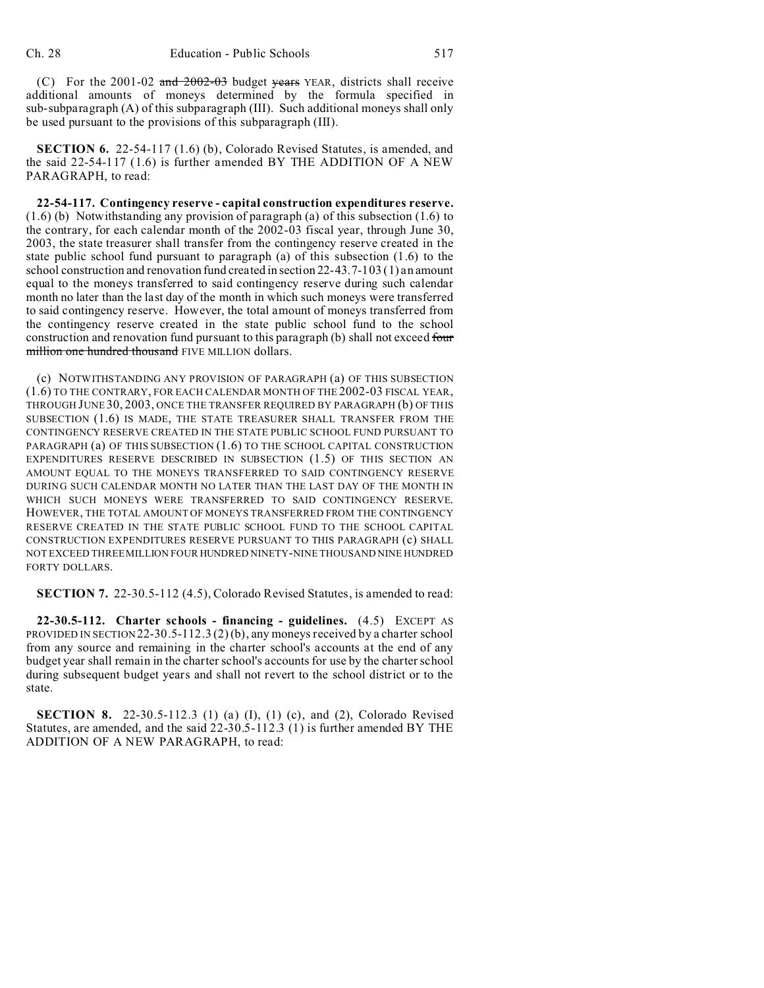(C) For the 2001-02 and 2002-03 budget years YEAR, districts shall receive additional amounts of moneys determined by the formula specified in sub-subparagraph (A) of this subparagraph (III). Such additional moneys shall only be used pursuant to the provisions of this subparagraph (III).

**SECTION 6.** 22-54-117 (1.6) (b), Colorado Revised Statutes, is amended, and the said 22-54-117 (1.6) is further amended BY THE ADDITION OF A NEW PARAGRAPH, to read:

**22-54-117. Contingency reserve - capital construction expenditures reserve.** (1.6) (b) Notwithstanding any provision of paragraph (a) of this subsection (1.6) to the contrary, for each calendar month of the 2002-03 fiscal year, through June 30, 2003, the state treasurer shall transfer from the contingency reserve created in the state public school fund pursuant to paragraph (a) of this subsection (1.6) to the school construction and renovation fund created in section 22-43.7-103 (1) an amount equal to the moneys transferred to said contingency reserve during such calendar month no later than the last day of the month in which such moneys were transferred to said contingency reserve. However, the total amount of moneys transferred from the contingency reserve created in the state public school fund to the school construction and renovation fund pursuant to this paragraph (b) shall not exceed four million one hundred thousand FIVE MILLION dollars.

(c) NOTWITHSTANDING ANY PROVISION OF PARAGRAPH (a) OF THIS SUBSECTION (1.6) TO THE CONTRARY, FOR EACH CALENDAR MONTH OF THE 2002-03 FISCAL YEAR, THROUGH JUNE 30, 2003, ONCE THE TRANSFER REQUIRED BY PARAGRAPH (b) OF THIS SUBSECTION (1.6) IS MADE, THE STATE TREASURER SHALL TRANSFER FROM THE CONTINGENCY RESERVE CREATED IN THE STATE PUBLIC SCHOOL FUND PURSUANT TO PARAGRAPH (a) OF THIS SUBSECTION (1.6) TO THE SCHOOL CAPITAL CONSTRUCTION EXPENDITURES RESERVE DESCRIBED IN SUBSECTION (1.5) OF THIS SECTION AN AMOUNT EQUAL TO THE MONEYS TRANSFERRED TO SAID CONTINGENCY RESERVE DURING SUCH CALENDAR MONTH NO LATER THAN THE LAST DAY OF THE MONTH IN WHICH SUCH MONEYS WERE TRANSFERRED TO SAID CONTINGENCY RESERVE. HOWEVER, THE TOTAL AMOUNT OF MONEYS TRANSFERRED FROM THE CONTINGENCY RESERVE CREATED IN THE STATE PUBLIC SCHOOL FUND TO THE SCHOOL CAPITAL CONSTRUCTION EXPENDITURES RESERVE PURSUANT TO THIS PARAGRAPH (c) SHALL NOT EXCEED THREE MILLION FOUR HUNDRED NINETY-NINE THOUSAND NINE HUNDRED FORTY DOLLARS.

**SECTION 7.** 22-30.5-112 (4.5), Colorado Revised Statutes, is amended to read:

**22-30.5-112. Charter schools - financing - guidelines.** (4.5) EXCEPT AS PROVIDED IN SECTION 22-30.5-112.3 (2)(b), any moneys received by a charter school from any source and remaining in the charter school's accounts at the end of any budget year shall remain in the charter school's accounts for use by the charter school during subsequent budget years and shall not revert to the school district or to the state.

**SECTION 8.** 22-30.5-112.3 (1) (a) (I), (1) (c), and (2), Colorado Revised Statutes, are amended, and the said 22-30.5-112.3 (1) is further amended BY THE ADDITION OF A NEW PARAGRAPH, to read: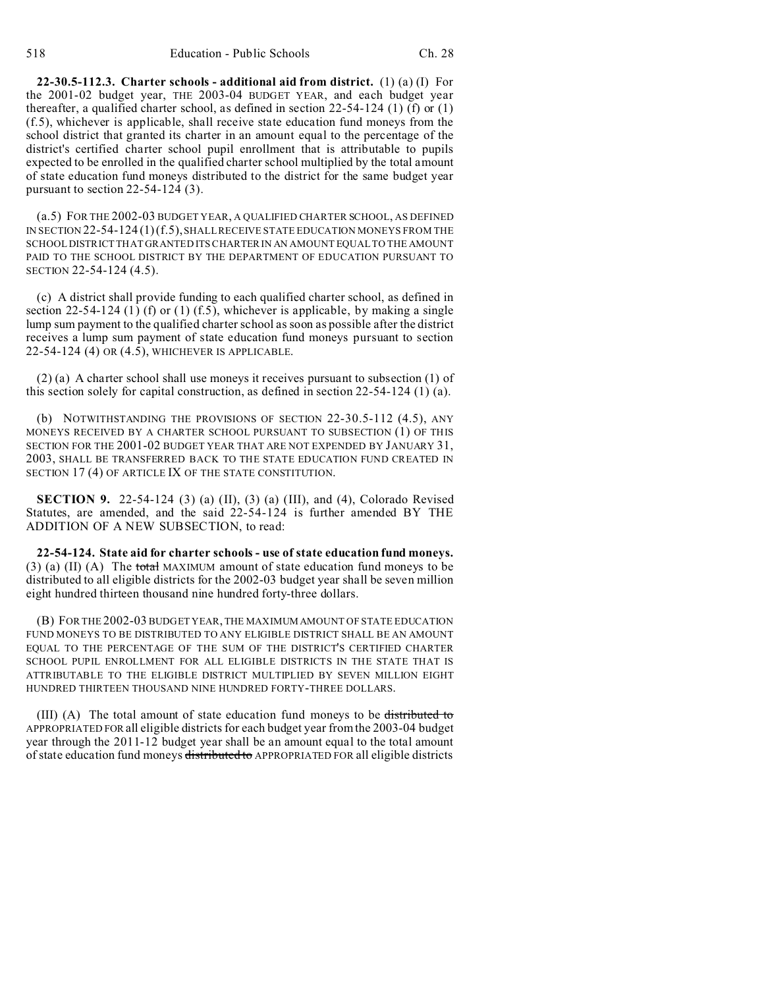**22-30.5-112.3. Charter schools - additional aid from district.** (1) (a) (I) For the 2001-02 budget year, THE 2003-04 BUDGET YEAR, and each budget year thereafter, a qualified charter school, as defined in section 22-54-124 (1) (f) or  $(1)$ (f.5), whichever is applicable, shall receive state education fund moneys from the school district that granted its charter in an amount equal to the percentage of the district's certified charter school pupil enrollment that is attributable to pupils expected to be enrolled in the qualified charter school multiplied by the total amount of state education fund moneys distributed to the district for the same budget year pursuant to section 22-54-124 (3).

(a.5) FOR THE 2002-03 BUDGET YEAR, A QUALIFIED CHARTER SCHOOL, AS DEFINED IN SECTION 22-54-124 (1)(f.5), SHALL RECEIVE STATE EDUCATION MONEYS FROM THE SCHOOL DISTRICT THAT GRANTED ITS CHARTER IN AN AMOUNT EQUAL TO THE AMOUNT PAID TO THE SCHOOL DISTRICT BY THE DEPARTMENT OF EDUCATION PURSUANT TO SECTION 22-54-124 (4.5).

(c) A district shall provide funding to each qualified charter school, as defined in section 22-54-124 (1) (f) or (1) (f.5), whichever is applicable, by making a single lump sum payment to the qualified charter school as soon as possible after the district receives a lump sum payment of state education fund moneys pursuant to section 22-54-124 (4) OR (4.5), WHICHEVER IS APPLICABLE.

(2) (a) A charter school shall use moneys it receives pursuant to subsection (1) of this section solely for capital construction, as defined in section 22-54-124 (1) (a).

(b) NOTWITHSTANDING THE PROVISIONS OF SECTION 22-30.5-112 (4.5), ANY MONEYS RECEIVED BY A CHARTER SCHOOL PURSUANT TO SUBSECTION (1) OF THIS SECTION FOR THE 2001-02 BUDGET YEAR THAT ARE NOT EXPENDED BY JANUARY 31, 2003, SHALL BE TRANSFERRED BACK TO THE STATE EDUCATION FUND CREATED IN SECTION 17 (4) OF ARTICLE IX OF THE STATE CONSTITUTION.

**SECTION 9.** 22-54-124 (3) (a) (II), (3) (a) (III), and (4), Colorado Revised Statutes, are amended, and the said 22-54-124 is further amended BY THE ADDITION OF A NEW SUBSECTION, to read:

**22-54-124. State aid for charter schools - use of state education fund moneys.** (3) (a) (II) (A) The total MAXIMUM amount of state education fund moneys to be distributed to all eligible districts for the 2002-03 budget year shall be seven million eight hundred thirteen thousand nine hundred forty-three dollars.

(B) FOR THE 2002-03 BUDGET YEAR, THE MAXIMUM AMOUNT OF STATE EDUCATION FUND MONEYS TO BE DISTRIBUTED TO ANY ELIGIBLE DISTRICT SHALL BE AN AMOUNT EQUAL TO THE PERCENTAGE OF THE SUM OF THE DISTRICT'S CERTIFIED CHARTER SCHOOL PUPIL ENROLLMENT FOR ALL ELIGIBLE DISTRICTS IN THE STATE THAT IS ATTRIBUTABLE TO THE ELIGIBLE DISTRICT MULTIPLIED BY SEVEN MILLION EIGHT HUNDRED THIRTEEN THOUSAND NINE HUNDRED FORTY-THREE DOLLARS.

(III) (A) The total amount of state education fund moneys to be distributed to APPROPRIATED FOR all eligible districts for each budget year from the 2003-04 budget year through the 2011-12 budget year shall be an amount equal to the total amount of state education fund moneys distributed to APPROPRIATED FOR all eligible districts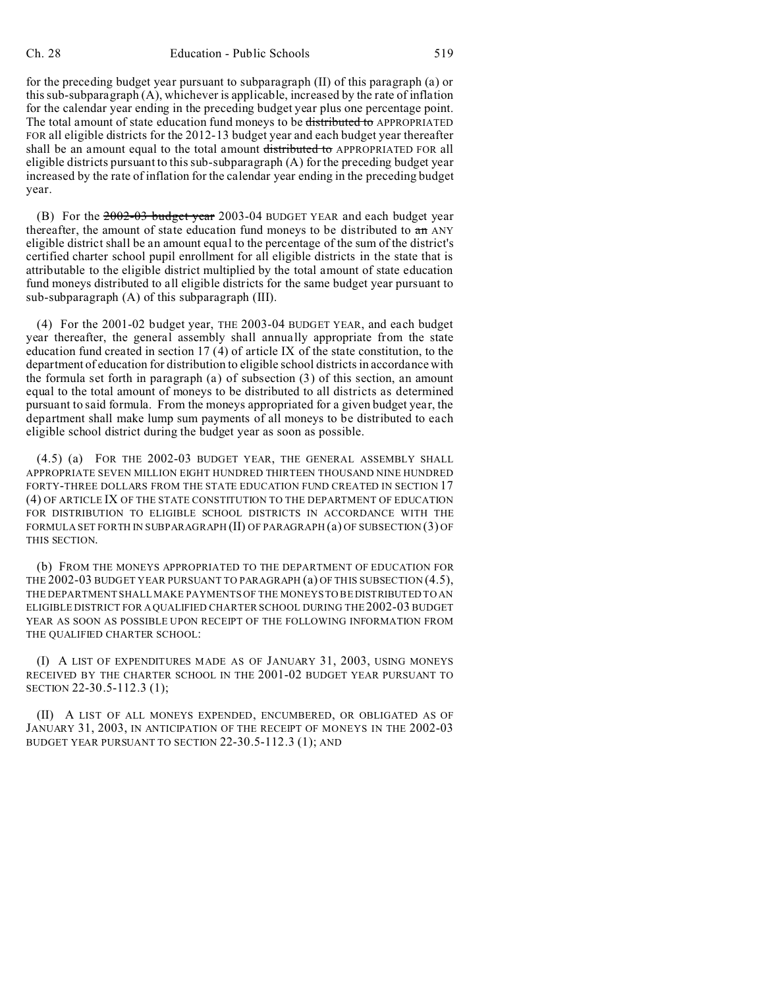for the preceding budget year pursuant to subparagraph (II) of this paragraph (a) or this sub-subparagraph (A), whichever is applicable, increased by the rate of inflation for the calendar year ending in the preceding budget year plus one percentage point. The total amount of state education fund moneys to be distributed to APPROPRIATED FOR all eligible districts for the 2012-13 budget year and each budget year thereafter shall be an amount equal to the total amount distributed to APPROPRIATED FOR all eligible districts pursuant to this sub-subparagraph (A) for the preceding budget year increased by the rate of inflation for the calendar year ending in the preceding budget year.

(B) For the  $2002-03$  budget year 2003-04 BUDGET YEAR and each budget year thereafter, the amount of state education fund moneys to be distributed to  $\mathbf{a} \mathbf{n}$  ANY eligible district shall be an amount equal to the percentage of the sum of the district's certified charter school pupil enrollment for all eligible districts in the state that is attributable to the eligible district multiplied by the total amount of state education fund moneys distributed to all eligible districts for the same budget year pursuant to sub-subparagraph (A) of this subparagraph (III).

(4) For the 2001-02 budget year, THE 2003-04 BUDGET YEAR, and each budget year thereafter, the general assembly shall annually appropriate from the state education fund created in section 17 (4) of article IX of the state constitution, to the department of education for distribution to eligible school districts in accordance with the formula set forth in paragraph (a) of subsection (3) of this section, an amount equal to the total amount of moneys to be distributed to all districts as determined pursuant to said formula. From the moneys appropriated for a given budget year, the department shall make lump sum payments of all moneys to be distributed to each eligible school district during the budget year as soon as possible.

(4.5) (a) FOR THE 2002-03 BUDGET YEAR, THE GENERAL ASSEMBLY SHALL APPROPRIATE SEVEN MILLION EIGHT HUNDRED THIRTEEN THOUSAND NINE HUNDRED FORTY-THREE DOLLARS FROM THE STATE EDUCATION FUND CREATED IN SECTION 17 (4) OF ARTICLE IX OF THE STATE CONSTITUTION TO THE DEPARTMENT OF EDUCATION FOR DISTRIBUTION TO ELIGIBLE SCHOOL DISTRICTS IN ACCORDANCE WITH THE FORMULA SET FORTH IN SUBPARAGRAPH (II) OF PARAGRAPH (a) OF SUBSECTION (3) OF THIS SECTION.

(b) FROM THE MONEYS APPROPRIATED TO THE DEPARTMENT OF EDUCATION FOR THE 2002-03 BUDGET YEAR PURSUANT TO PARAGRAPH (a) OF THIS SUBSECTION (4.5), THE DEPARTMENT SHALL MAKE PAYMENTS OF THE MONEYS TO BE DISTRIBUTED TO AN ELIGIBLE DISTRICT FOR A QUALIFIED CHARTER SCHOOL DURING THE2002-03 BUDGET YEAR AS SOON AS POSSIBLE UPON RECEIPT OF THE FOLLOWING INFORMATION FROM THE QUALIFIED CHARTER SCHOOL:

(I) A LIST OF EXPENDITURES MADE AS OF JANUARY 31, 2003, USING MONEYS RECEIVED BY THE CHARTER SCHOOL IN THE 2001-02 BUDGET YEAR PURSUANT TO SECTION 22-30.5-112.3 (1);

(II) A LIST OF ALL MONEYS EXPENDED, ENCUMBERED, OR OBLIGATED AS OF JANUARY 31, 2003, IN ANTICIPATION OF THE RECEIPT OF MONEYS IN THE 2002-03 BUDGET YEAR PURSUANT TO SECTION 22-30.5-112.3 (1); AND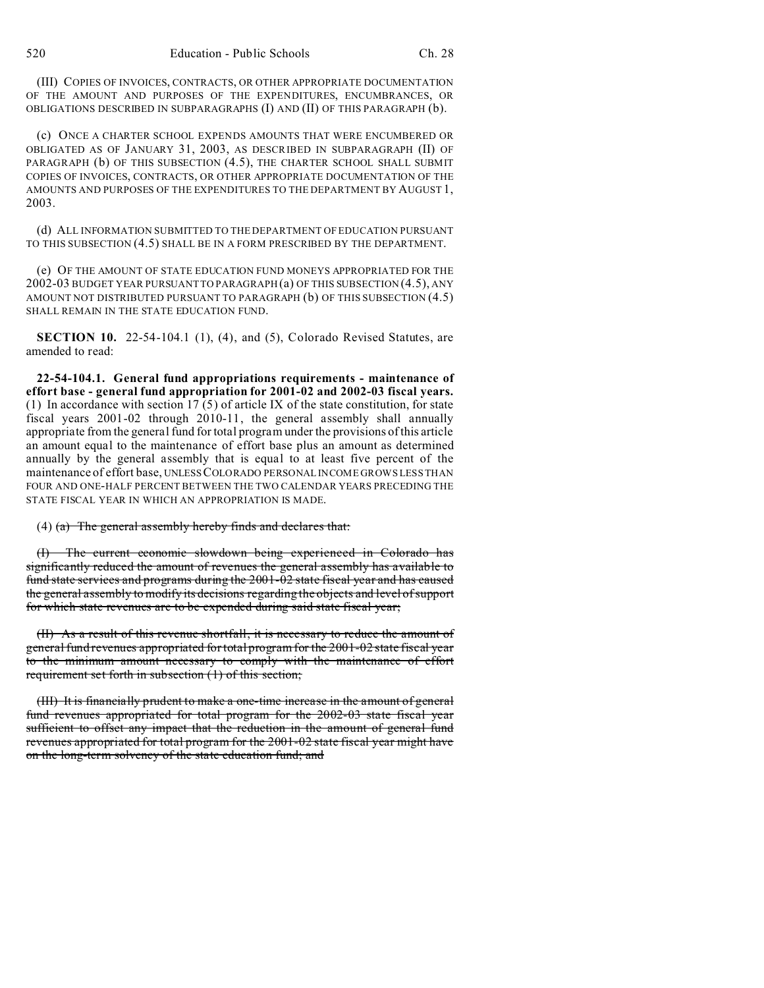(III) COPIES OF INVOICES, CONTRACTS, OR OTHER APPROPRIATE DOCUMENTATION OF THE AMOUNT AND PURPOSES OF THE EXPENDITURES, ENCUMBRANCES, OR OBLIGATIONS DESCRIBED IN SUBPARAGRAPHS (I) AND (II) OF THIS PARAGRAPH (b).

(c) ONCE A CHARTER SCHOOL EXPENDS AMOUNTS THAT WERE ENCUMBERED OR OBLIGATED AS OF JANUARY 31, 2003, AS DESCRIBED IN SUBPARAGRAPH (II) OF PARAGRAPH (b) OF THIS SUBSECTION (4.5), THE CHARTER SCHOOL SHALL SUBMIT COPIES OF INVOICES, CONTRACTS, OR OTHER APPROPRIATE DOCUMENTATION OF THE AMOUNTS AND PURPOSES OF THE EXPENDITURES TO THE DEPARTMENT BY AUGUST 1, 2003.

(d) ALL INFORMATION SUBMITTED TO THE DEPARTMENT OF EDUCATION PURSUANT TO THIS SUBSECTION (4.5) SHALL BE IN A FORM PRESCRIBED BY THE DEPARTMENT.

(e) OF THE AMOUNT OF STATE EDUCATION FUND MONEYS APPROPRIATED FOR THE 2002-03 BUDGET YEAR PURSUANT TO PARAGRAPH (a) OF THIS SUBSECTION (4.5), ANY AMOUNT NOT DISTRIBUTED PURSUANT TO PARAGRAPH (b) OF THIS SUBSECTION (4.5) SHALL REMAIN IN THE STATE EDUCATION FUND.

**SECTION 10.** 22-54-104.1 (1), (4), and (5), Colorado Revised Statutes, are amended to read:

**22-54-104.1. General fund appropriations requirements - maintenance of effort base - general fund appropriation for 2001-02 and 2002-03 fiscal years.** (1) In accordance with section 17 (5) of article IX of the state constitution, for state fiscal years 2001-02 through 2010-11, the general assembly shall annually appropriate from the general fund for total program under the provisions of this article an amount equal to the maintenance of effort base plus an amount as determined annually by the general assembly that is equal to at least five percent of the maintenance of effort base, UNLESS COLORADO PERSONAL INCOME GROWS LESS THAN FOUR AND ONE-HALF PERCENT BETWEEN THE TWO CALENDAR YEARS PRECEDING THE STATE FISCAL YEAR IN WHICH AN APPROPRIATION IS MADE.

(4)  $(a)$  The general assembly hereby finds and declares that:

(I) The current economic slowdown being experienced in Colorado has significantly reduced the amount of revenues the general assembly has available to fund state services and programs during the 2001-02 state fiscal year and has caused the general assembly to modify its decisions regarding the objects and level of support for which state revenues are to be expended during said state fiscal year;

(II) As a result of this revenue shortfall, it is necessary to reduce the amount of general fund revenues appropriated for total program for the 2001-02 state fiscal year to the minimum amount necessary to comply with the maintenance of effort requirement set forth in subsection (1) of this section;

(III) It is financially prudent to make a one-time increase in the amount of general fund revenues appropriated for total program for the 2002-03 state fiscal year sufficient to offset any impact that the reduction in the amount of general fund revenues appropriated for total program for the 2001-02 state fiscal year might have on the long-term solvency of the state education fund; and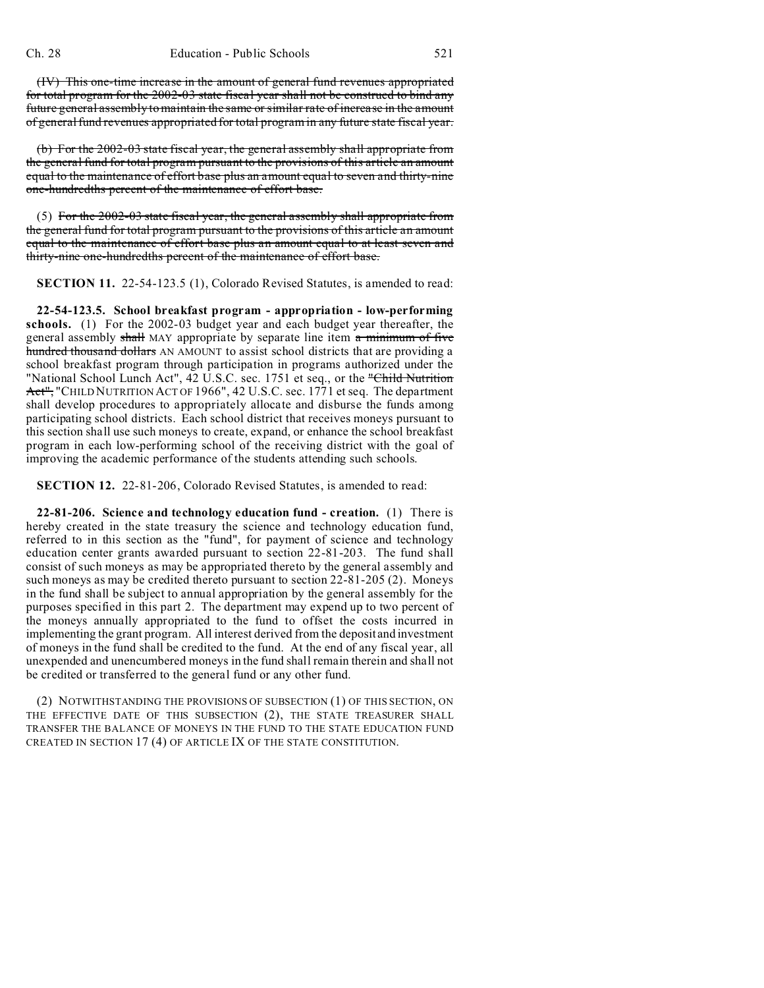(IV) This one-time increase in the amount of general fund revenues appropriated for total program for the 2002-03 state fiscal year shall not be construed to bind any future general assembly to maintain the same or similar rate of increase in the amount of general fund revenues appropriated for total program in any future state fiscal year.

(b) For the 2002-03 state fiscal year, the general assembly shall appropriate from the general fund for total program pursuant to the provisions of this article an amount equal to the maintenance of effort base plus an amount equal to seven and thirty-nine one-hundredths percent of the maintenance of effort base.

(5) For the 2002-03 state fiscal year, the general assembly shall appropriate from the general fund for total program pursuant to the provisions of this article an amount equal to the maintenance of effort base plus an amount equal to at least seven and thirty-nine one-hundredths percent of the maintenance of effort base.

**SECTION 11.** 22-54-123.5 (1), Colorado Revised Statutes, is amended to read:

**22-54-123.5. School breakfast program - appropriation - low-performing schools.** (1) For the 2002-03 budget year and each budget year thereafter, the general assembly shall MAY appropriate by separate line item a minimum of five hundred thousand dollars AN AMOUNT to assist school districts that are providing a school breakfast program through participation in programs authorized under the "National School Lunch Act", 42 U.S.C. sec. 1751 et seq., or the "Child Nutrition" Act<sup>"</sup>, "CHILD NUTRITION ACT OF 1966", 42 U.S.C. sec. 1771 et seq. The department shall develop procedures to appropriately allocate and disburse the funds among participating school districts. Each school district that receives moneys pursuant to this section shall use such moneys to create, expand, or enhance the school breakfast program in each low-performing school of the receiving district with the goal of improving the academic performance of the students attending such schools.

**SECTION 12.** 22-81-206, Colorado Revised Statutes, is amended to read:

**22-81-206. Science and technology education fund - creation.** (1) There is hereby created in the state treasury the science and technology education fund, referred to in this section as the "fund", for payment of science and technology education center grants awarded pursuant to section 22-81-203. The fund shall consist of such moneys as may be appropriated thereto by the general assembly and such moneys as may be credited thereto pursuant to section 22-81-205 (2). Moneys in the fund shall be subject to annual appropriation by the general assembly for the purposes specified in this part 2. The department may expend up to two percent of the moneys annually appropriated to the fund to offset the costs incurred in implementing the grant program. All interest derived from the deposit and investment of moneys in the fund shall be credited to the fund. At the end of any fiscal year, all unexpended and unencumbered moneys in the fund shall remain therein and shall not be credited or transferred to the general fund or any other fund.

(2) NOTWITHSTANDING THE PROVISIONS OF SUBSECTION (1) OF THIS SECTION, ON THE EFFECTIVE DATE OF THIS SUBSECTION (2), THE STATE TREASURER SHALL TRANSFER THE BALANCE OF MONEYS IN THE FUND TO THE STATE EDUCATION FUND CREATED IN SECTION 17 (4) OF ARTICLE IX OF THE STATE CONSTITUTION.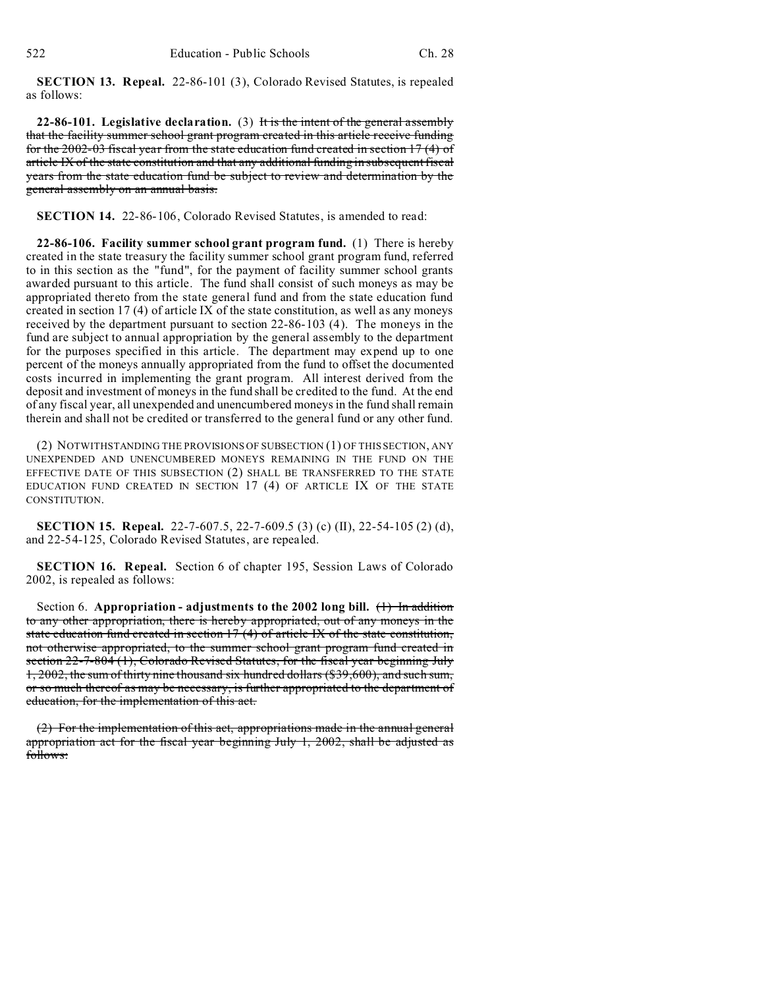**SECTION 13. Repeal.** 22-86-101 (3), Colorado Revised Statutes, is repealed as follows:

**22-86-101. Legislative declaration.** (3) It is the intent of the general assembly that the facility summer school grant program created in this article receive funding for the 2002-03 fiscal year from the state education fund created in section 17 (4) of article IX of the state constitution and that any additional funding in subsequent fiscal years from the state education fund be subject to review and determination by the general assembly on an annual basis.

**SECTION 14.** 22-86-106, Colorado Revised Statutes, is amended to read:

**22-86-106. Facility summer school grant program fund.** (1) There is hereby created in the state treasury the facility summer school grant program fund, referred to in this section as the "fund", for the payment of facility summer school grants awarded pursuant to this article. The fund shall consist of such moneys as may be appropriated thereto from the state general fund and from the state education fund created in section 17 (4) of article IX of the state constitution, as well as any moneys received by the department pursuant to section 22-86-103 (4). The moneys in the fund are subject to annual appropriation by the general assembly to the department for the purposes specified in this article. The department may expend up to one percent of the moneys annually appropriated from the fund to offset the documented costs incurred in implementing the grant program. All interest derived from the deposit and investment of moneys in the fund shall be credited to the fund. At the end of any fiscal year, all unexpended and unencumbered moneys in the fund shall remain therein and shall not be credited or transferred to the general fund or any other fund.

(2) NOTWITHSTANDING THE PROVISIONS OF SUBSECTION (1) OF THIS SECTION, ANY UNEXPENDED AND UNENCUMBERED MONEYS REMAINING IN THE FUND ON THE EFFECTIVE DATE OF THIS SUBSECTION (2) SHALL BE TRANSFERRED TO THE STATE EDUCATION FUND CREATED IN SECTION 17 (4) OF ARTICLE IX OF THE STATE CONSTITUTION.

**SECTION 15. Repeal.** 22-7-607.5, 22-7-609.5 (3) (c) (II), 22-54-105 (2) (d), and 22-54-125, Colorado Revised Statutes, are repealed.

**SECTION 16. Repeal.** Section 6 of chapter 195, Session Laws of Colorado 2002, is repealed as follows:

Section 6. **Appropriation - adjustments to the 2002 long bill.** (1) In addition to any other appropriation, there is hereby appropriated, out of any moneys in the state education fund created in section 17 (4) of article IX of the state constitution, not otherwise appropriated, to the summer school grant program fund created in section 22-7-804 (1), Colorado Revised Statutes, for the fiscal year beginning July 1, 2002, the sum of thirty nine thousand six hundred dollars (\$39,600), and such sum, or so much thereof as may be necessary, is further appropriated to the department of education, for the implementation of this act.

(2) For the implementation of this act, appropriations made in the annual general appropriation act for the fiscal year beginning July 1, 2002, shall be adjusted as follows: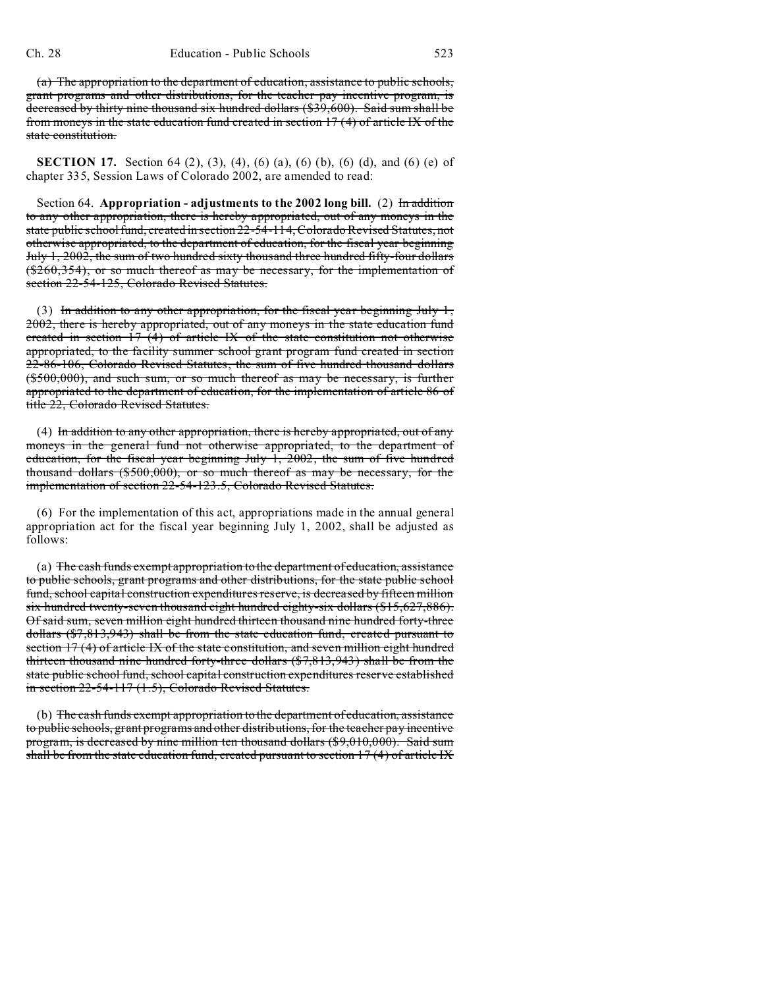(a) The appropriation to the department of education, assistance to public schools, grant programs and other distributions, for the teacher pay incentive program, is decreased by thirty nine thousand six hundred dollars (\$39,600). Said sum shall be from moneys in the state education fund created in section 17 (4) of article IX of the state constitution.

**SECTION 17.** Section 64 (2), (3), (4), (6) (a), (6) (b), (6) (d), and (6) (e) of chapter 335, Session Laws of Colorado 2002, are amended to read:

Section 64. **Appropriation - adjustments to the 2002 long bill.** (2) In addition to any other appropriation, there is hereby appropriated, out of any moneys in the state public school fund, created in section 22-54-114, Colorado Revised Statutes, not otherwise appropriated, to the department of education, for the fiscal year beginning July 1, 2002, the sum of two hundred sixty thousand three hundred fifty-four dollars (\$260,354), or so much thereof as may be necessary, for the implementation of section 22-54-125, Colorado Revised Statutes.

(3) In addition to any other appropriation, for the fiscal year beginning July 1, 2002, there is hereby appropriated, out of any moneys in the state education fund created in section 17 (4) of article IX of the state constitution not otherwise appropriated, to the facility summer school grant program fund created in section 22-86-106, Colorado Revised Statutes, the sum of five hundred thousand dollars (\$500,000), and such sum, or so much thereof as may be necessary, is further appropriated to the department of education, for the implementation of article 86 of title 22, Colorado Revised Statutes.

(4) In addition to any other appropriation, there is hereby appropriated, out of any moneys in the general fund not otherwise appropriated, to the department of education, for the fiscal year beginning July 1, 2002, the sum of five hundred thousand dollars (\$500,000), or so much thereof as may be necessary, for the implementation of section 22-54-123.5, Colorado Revised Statutes.

(6) For the implementation of this act, appropriations made in the annual general appropriation act for the fiscal year beginning July 1, 2002, shall be adjusted as follows:

(a) The cash funds exempt appropriation to the department of education, assistance to public schools, grant programs and other distributions, for the state public school fund, school capital construction expenditures reserve, is decreased by fifteen million six hundred twenty-seven thousand eight hundred eighty-six dollars (\$15,627,886). Of said sum, seven million eight hundred thirteen thousand nine hundred forty-three dollars (\$7,813,943) shall be from the state education fund, created pursuant to section 17 (4) of article IX of the state constitution, and seven million eight hundred thirteen thousand nine hundred forty-three dollars (\$7,813,943) shall be from the state public school fund, school capital construction expenditures reserve established in section 22-54-117 (1.5), Colorado Revised Statutes.

(b) The cash funds exempt appropriation to the department of education, assistance to public schools, grant programs and other distributions, for the teacher pay incentive program, is decreased by nine million ten thousand dollars (\$9,010,000). Said sum shall be from the state education fund, created pursuant to section 17 (4) of article IX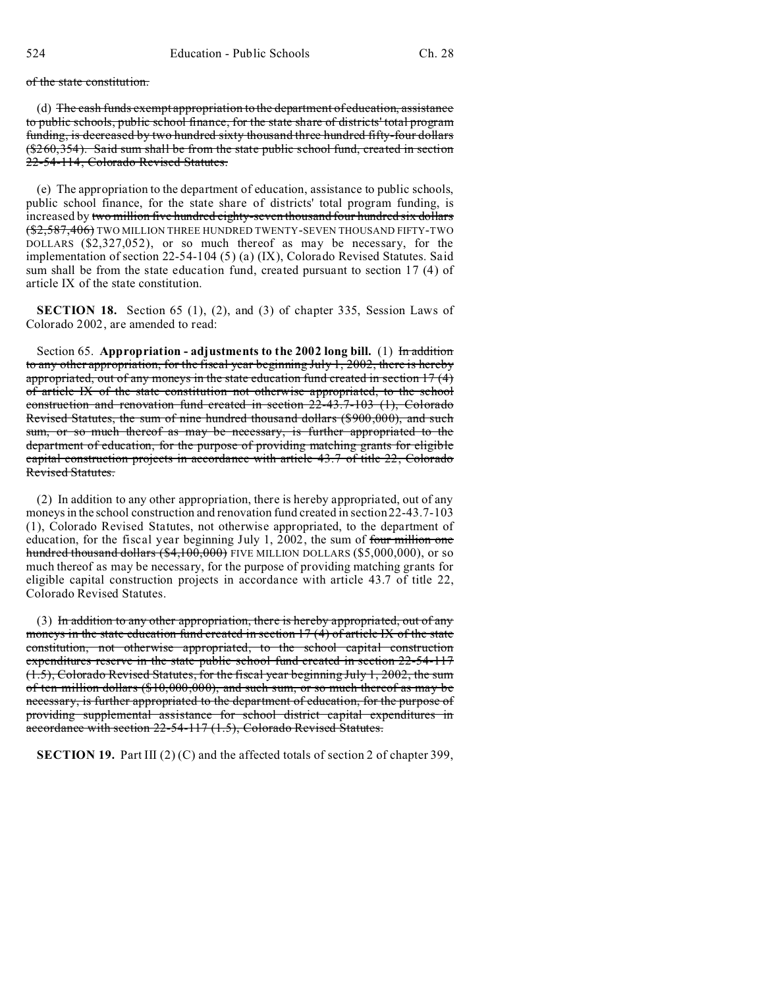of the state constitution.

(d) The cash funds exempt appropriation to the department of education, assistance to public schools, public school finance, for the state share of districts' total program funding, is decreased by two hundred sixty thousand three hundred fifty-four dollars (\$260,354). Said sum shall be from the state public school fund, created in section 22-54-114, Colorado Revised Statutes.

(e) The appropriation to the department of education, assistance to public schools, public school finance, for the state share of districts' total program funding, is increased by two million five hundred eighty-seven thousand four hundred six dollars (\$2,587,406) TWO MILLION THREE HUNDRED TWENTY-SEVEN THOUSAND FIFTY-TWO DOLLARS (\$2,327,052), or so much thereof as may be necessary, for the implementation of section 22-54-104 (5) (a) (IX), Colorado Revised Statutes. Said sum shall be from the state education fund, created pursuant to section 17 (4) of article IX of the state constitution.

**SECTION 18.** Section 65 (1), (2), and (3) of chapter 335, Session Laws of Colorado 2002, are amended to read:

Section 65. **Appropriation - adjustments to the 2002 long bill.** (1) In addition to any other appropriation, for the fiscal year beginning July 1, 2002, there is hereby appropriated, out of any moneys in the state education fund created in section 17 (4) of article IX of the state constitution not otherwise appropriated, to the school construction and renovation fund created in section 22-43.7-103 (1), Colorado Revised Statutes, the sum of nine hundred thousand dollars (\$900,000), and such sum, or so much thereof as may be necessary, is further appropriated to the department of education, for the purpose of providing matching grants for eligible capital construction projects in accordance with article 43.7 of title 22, Colorado Revised Statutes.

(2) In addition to any other appropriation, there is hereby appropriated, out of any moneys in the school construction and renovation fund created in section 22-43.7-103 (1), Colorado Revised Statutes, not otherwise appropriated, to the department of education, for the fiscal year beginning July 1, 2002, the sum of four million one hundred thousand dollars (\$4,100,000) FIVE MILLION DOLLARS (\$5,000,000), or so much thereof as may be necessary, for the purpose of providing matching grants for eligible capital construction projects in accordance with article 43.7 of title 22, Colorado Revised Statutes.

(3) In addition to any other appropriation, there is hereby appropriated, out of any moneys in the state education fund created in section 17 (4) of article IX of the state constitution, not otherwise appropriated, to the school capital construction expenditures reserve in the state public school fund created in section 22-54-117 (1.5), Colorado Revised Statutes, for the fiscal year beginning July 1, 2002, the sum of ten million dollars (\$10,000,000), and such sum, or so much thereof as may be necessary, is further appropriated to the department of education, for the purpose of providing supplemental assistance for school district capital expenditures in accordance with section 22-54-117 (1.5), Colorado Revised Statutes.

**SECTION 19.** Part III (2) (C) and the affected totals of section 2 of chapter 399,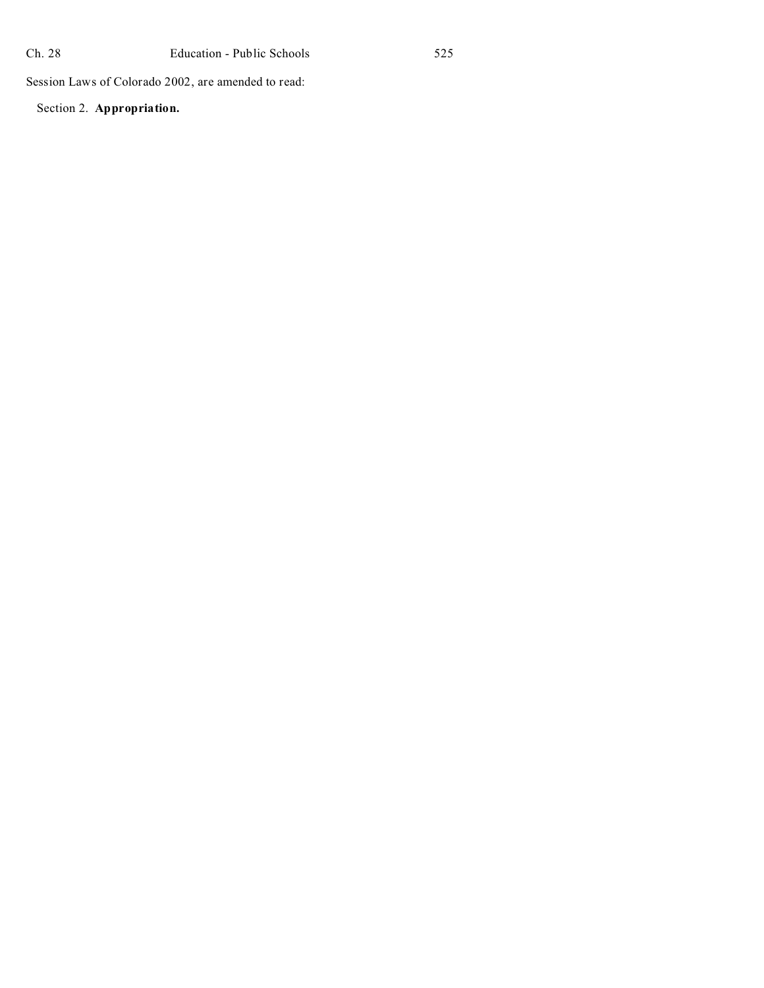Session Laws of Colorado 2002, are amended to read:

Section 2. **Appropriation.**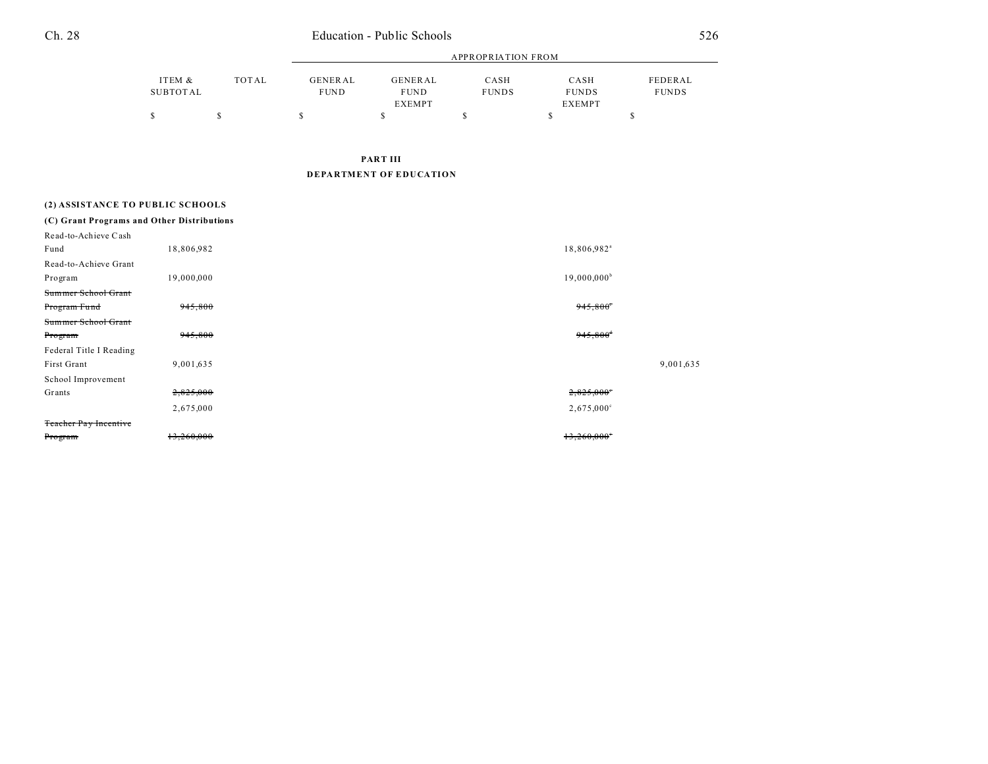| Ch. 28 |        | Education - Public Schools |                    |         |      |      |         |
|--------|--------|----------------------------|--------------------|---------|------|------|---------|
|        |        |                            | APPROPRIATION FROM |         |      |      |         |
|        | ITEM & | <b>TOTAL</b>               | GENERAL            | GENERAL | CASH | CASH | FEDERAL |

**PART III**

**DEPARTMENT OF EDUCATION**

## **(2) ASSISTANCE TO PUBLIC SCHOOLS**

|                              | (C) Grant Programs and Other Distributions |                         |           |
|------------------------------|--------------------------------------------|-------------------------|-----------|
| Read-to-Achieve Cash         |                                            |                         |           |
| Fund                         | 18,806,982                                 | 18,806,982 <sup>a</sup> |           |
| Read-to-Achieve Grant        |                                            |                         |           |
| Program                      | 19,000,000                                 | $19,000,000^{\circ}$    |           |
| Summer School Grant          |                                            |                         |           |
| Program Fund                 | 945,800                                    | 945,800                 |           |
| Summer School Grant          |                                            |                         |           |
| Program                      | 945,800                                    | $945,800$ <sup>+</sup>  |           |
| Federal Title I Reading      |                                            |                         |           |
| First Grant                  | 9,001,635                                  |                         | 9,001,635 |
| School Improvement           |                                            |                         |           |
| Grants                       | 2,825,000                                  | 2,825,000               |           |
|                              | 2,675,000                                  | $2,675,000^{\circ}$     |           |
| <b>Teacher Pay Incentive</b> |                                            |                         |           |
| Program                      | 13,260,000                                 | 13,260,000              |           |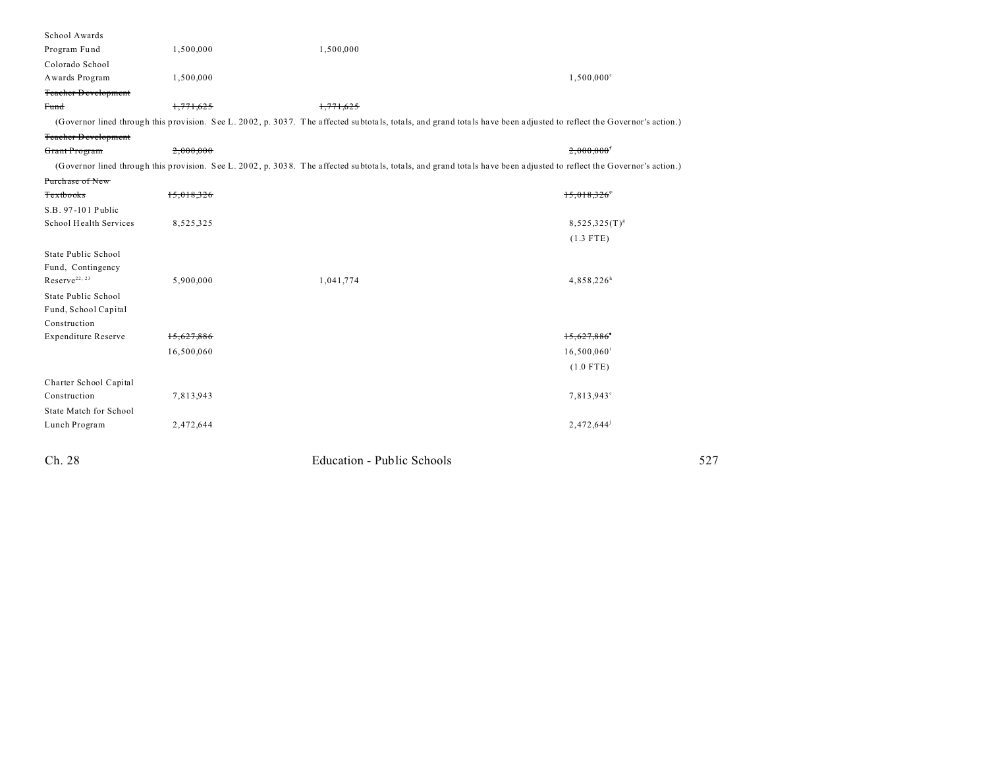| School Awards                |                       |                                   |                                                                                                                                                                      |
|------------------------------|-----------------------|-----------------------------------|----------------------------------------------------------------------------------------------------------------------------------------------------------------------|
| Program Fund                 | 1,500,000             | 1,500,000                         |                                                                                                                                                                      |
| Colorado School              |                       |                                   |                                                                                                                                                                      |
| Awards Program               | 1,500,000             |                                   | $1,500,000^{\circ}$                                                                                                                                                  |
| <b>Teacher Development</b>   |                       |                                   |                                                                                                                                                                      |
| Fund                         | 1,771,625             | <del>1,771,625</del>              |                                                                                                                                                                      |
|                              |                       |                                   | (Governor lined through this provision. See L. 2002, p. 3037. The affected subtotals, totals, and grand totals have been adjusted to reflect the Governor's action.) |
| <b>Teacher Development</b>   |                       |                                   |                                                                                                                                                                      |
| Grant Program                | 2,000,000             |                                   | $2,000,000$ <sup>r</sup>                                                                                                                                             |
|                              |                       |                                   | (Governor lined through this provision. See L. 2002, p. 3038. The affected subtotals, totals, and grand totals have been adjusted to reflect the Governor's action.) |
| Purchase of New              |                       |                                   |                                                                                                                                                                      |
| <b>Textbooks</b>             | <del>15,018,326</del> |                                   | 15.018.326                                                                                                                                                           |
| S.B. 97-101 Public           |                       |                                   |                                                                                                                                                                      |
| School Health Services       | 8,525,325             |                                   | $8,525,325(T)^{8}$                                                                                                                                                   |
|                              |                       |                                   | $(1.3$ FTE)                                                                                                                                                          |
| State Public School          |                       |                                   |                                                                                                                                                                      |
| Fund, Contingency            |                       |                                   |                                                                                                                                                                      |
| $\mbox{Reserve}^{22, \; 23}$ | 5,900,000             | 1,041,774                         | $4,858,226^h$                                                                                                                                                        |
| State Public School          |                       |                                   |                                                                                                                                                                      |
| Fund, School Capital         |                       |                                   |                                                                                                                                                                      |
| Construction                 |                       |                                   |                                                                                                                                                                      |
| <b>Expenditure Reserve</b>   | 15,627,886            |                                   | 15,627,886                                                                                                                                                           |
|                              | 16,500,060            |                                   | 16,500,060                                                                                                                                                           |
|                              |                       |                                   | $(1.0$ FTE)                                                                                                                                                          |
| Charter School Capital       |                       |                                   |                                                                                                                                                                      |
| Construction                 | 7,813,943             |                                   | 7,813,943 <sup>c</sup>                                                                                                                                               |
| State Match for School       |                       |                                   |                                                                                                                                                                      |
| Lunch Program                | 2,472,644             |                                   | $2,472,644^{\circ}$                                                                                                                                                  |
| Ch. 28                       |                       | <b>Education - Public Schools</b> | 527                                                                                                                                                                  |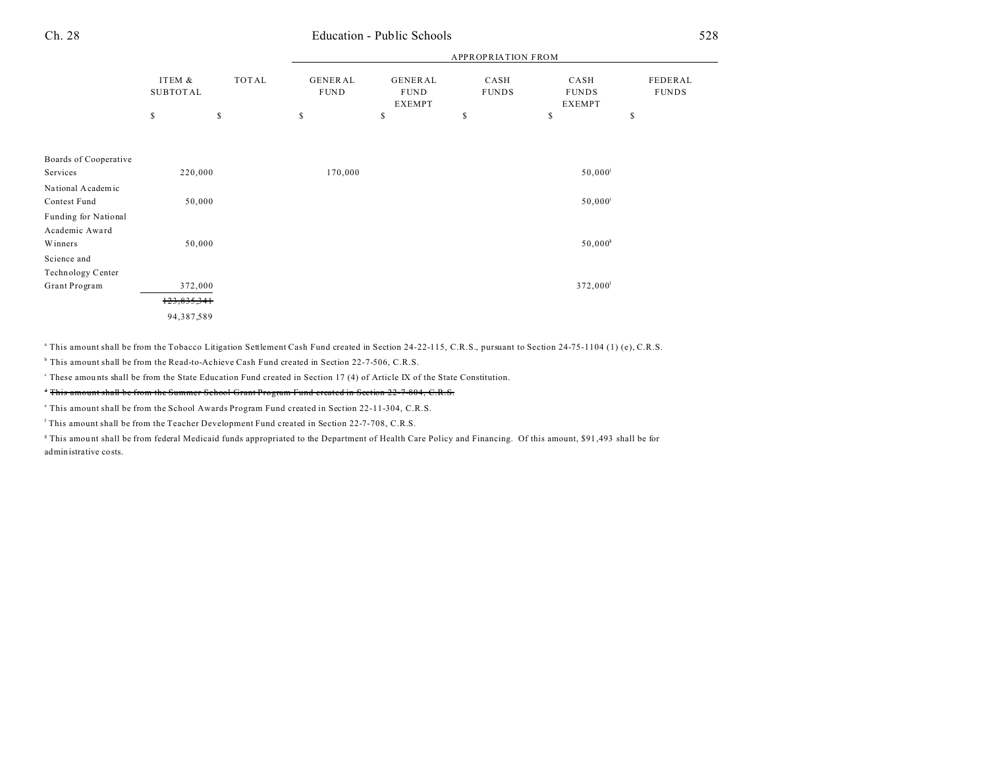|                       |                           |              |                               |                                         | <b>APPROPRIATION FROM</b> |                                       |                         |
|-----------------------|---------------------------|--------------|-------------------------------|-----------------------------------------|---------------------------|---------------------------------------|-------------------------|
|                       | ITEM &<br><b>SUBTOTAL</b> | <b>TOTAL</b> | <b>GENERAL</b><br><b>FUND</b> | GENERAL<br><b>FUND</b><br><b>EXEMPT</b> | CASH<br><b>FUNDS</b>      | CASH<br><b>FUNDS</b><br><b>EXEMPT</b> | FEDERAL<br><b>FUNDS</b> |
|                       | \$                        | \$           | \$                            | \$                                      | \$                        | \$                                    | \$                      |
| Boards of Cooperative |                           |              |                               |                                         |                           |                                       |                         |
| Services              | 220,000                   |              | 170,000                       |                                         |                           | $50,000^{\rm j}$                      |                         |
| National Academic     |                           |              |                               |                                         |                           |                                       |                         |
| Contest Fund          | 50,000                    |              |                               |                                         |                           | $50,000^{\rm j}$                      |                         |
| Funding for National  |                           |              |                               |                                         |                           |                                       |                         |
| Academic Award        |                           |              |                               |                                         |                           |                                       |                         |
| Winners               | 50,000                    |              |                               |                                         |                           | $50,000^k$                            |                         |
| Science and           |                           |              |                               |                                         |                           |                                       |                         |
| Technology Center     |                           |              |                               |                                         |                           |                                       |                         |
| Grant Program         | 372,000                   |              |                               |                                         |                           | 372,000 <sup>1</sup>                  |                         |
|                       | 123,835,341               |              |                               |                                         |                           |                                       |                         |
|                       | 94,387,589                |              |                               |                                         |                           |                                       |                         |

a This amount shall be from the Tobacco Litigation Settlement Cash Fund created in Section 24-22-115, C.R.S., pursuant to Section 24-75-1104 (1) (e), C.R.S.

<sup>b</sup> This amount shall be from the Read-to-Achieve Cash Fund created in Section 22-7-506, C.R.S.

These amounts shall be from the State Education Fund created in Section 17 (4) of Article IX of the State Constitution.

<sup>\*</sup> This amount shall be from the Summer School Grant Program Fund created in Section 22-7-804, C.R.S.

e This amount shall be from the School Awards Program Fund created in Section 22-11-304, C.R.S.

f This amount shall be from the Teacher Development Fund created in Section 22-7-708, C.R.S.

This amount shall be from federal Medicaid funds appropriated to the Department of Health Care Policy and Financing. Of this amount, \$91,493 shall be for administrative costs.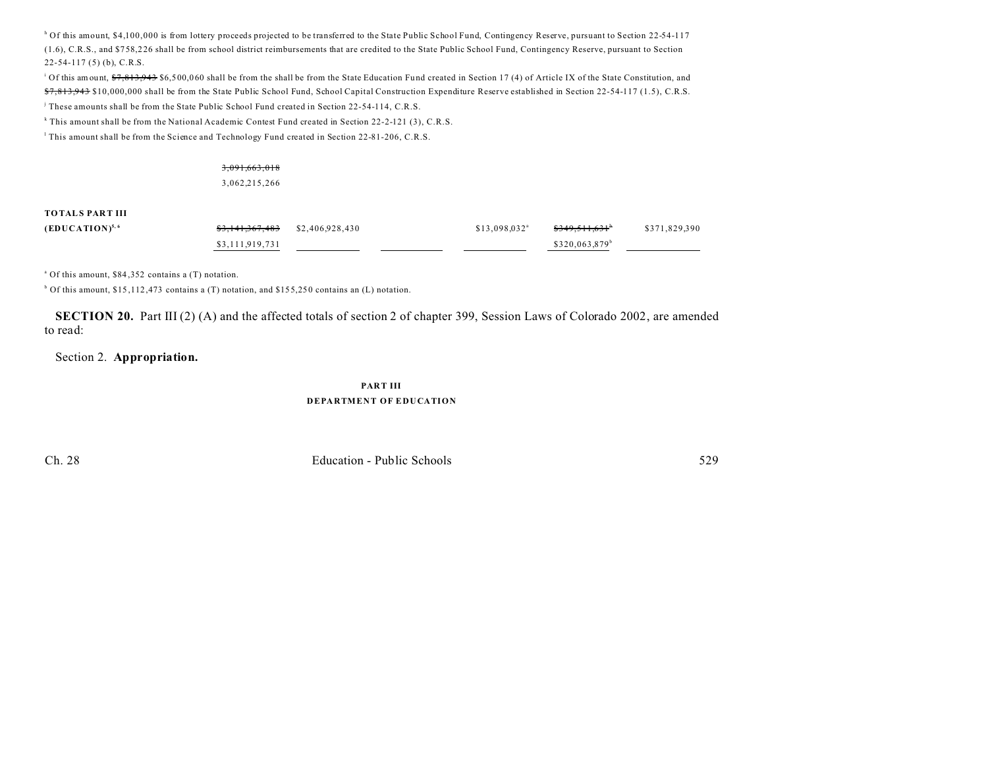<sup>h</sup> Of this amount, \$4,100,000 is from lottery proceeds projected to be transferred to the State Public School Fund, Contingency Reserve, pursuant to Section 22-54-117 (1.6), C.R.S., and \$7 58,2 26 shall be from school district reimbursements that are credited to the State Public School Fund, Contingency Reserve, pursuant to Section 22-54-117 (5) (b), C.R.S.

<sup>i</sup> Of this amount, <del>\$7,813,943</del> \$6,500,060 shall be from the shall be from the State Education Fund created in Section 17 (4) of Article IX of the State Constitution, and  $$7,813,943$  \$10,000,000 shall be from the State Public School Fund, School Capital Construction Expenditure Reserve established in Section 22-54-117 (1.5), C.R.S.

j These amounts shall be from the State Public School Fund created in Section 22-54-114, C.R.S.

k This amount shall be from the National Academic Contest Fund created in Section 22-2-121 (3), C.R.S.

l This amount shall be from the Science and Technology Fund created in Section 22-81-206, C.R.S.

#### 3,091,663,018

3,062,215,266

### **TOTALS PART III**

| $(EDUCATION)^{5,6}$ | <del>\$3,141,367,483</del> \$2,406,928,430 | \$13,098,032 <sup>a</sup> | <del>\$349.511.631</del> | \$371,829,390 |
|---------------------|--------------------------------------------|---------------------------|--------------------------|---------------|
|                     | \$3.111.919.731                            |                           | $$320.063.879^b$         |               |

a Of this amount, \$84 ,352 contains a (T) notation.

<sup>b</sup> Of this amount, \$15,112,473 contains a (T) notation, and \$155,250 contains an (L) notation.

**SECTION 20.** Part III (2) (A) and the affected totals of section 2 of chapter 399, Session Laws of Colorado 2002, are amended to read:

# Section 2. **Appropriation.**

## **PART III DEPARTMENT OF EDUCATION**

Ch. 28 Education - Public Schools 529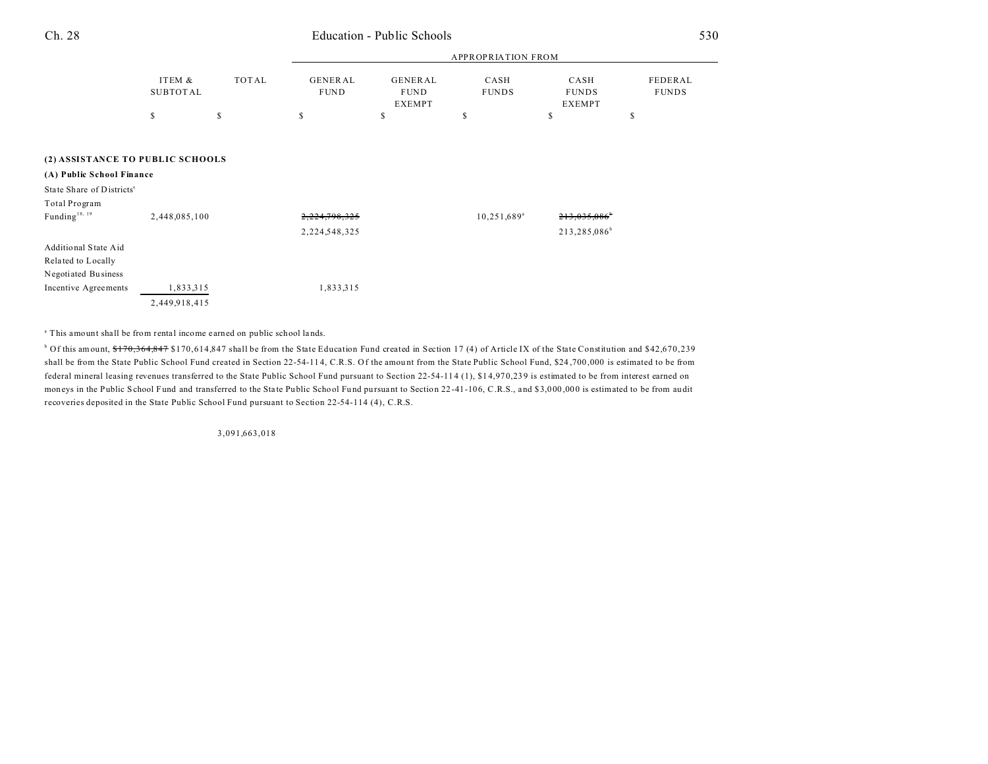| Ch. 28                                                        |                           |              | Education - Public Schools |                                         |                           |                                       |                         |
|---------------------------------------------------------------|---------------------------|--------------|----------------------------|-----------------------------------------|---------------------------|---------------------------------------|-------------------------|
|                                                               |                           |              |                            |                                         | <b>APPROPRIATION FROM</b> |                                       |                         |
|                                                               | ITEM &<br><b>SUBTOTAL</b> | <b>TOTAL</b> | GENERAL<br><b>FUND</b>     | GENERAL<br><b>FUND</b><br><b>EXEMPT</b> | CASH<br><b>FUNDS</b>      | CASH<br><b>FUNDS</b><br><b>EXEMPT</b> | FEDERAL<br><b>FUNDS</b> |
|                                                               | $\mathbb{S}$              | \$           | \$                         | \$                                      | S                         | \$                                    | \$                      |
| (2) ASSISTANCE TO PUBLIC SCHOOLS<br>(A) Public School Finance |                           |              |                            |                                         |                           |                                       |                         |
| State Share of Districts'                                     |                           |              |                            |                                         |                           |                                       |                         |
| Total Program                                                 |                           |              |                            |                                         |                           |                                       |                         |
| Funding <sup>18, 19</sup>                                     | 2,448,085,100             |              | 2,224,798,325              |                                         | $10,251,689$ <sup>a</sup> | 213,035,086 <sup>b</sup>              |                         |
|                                                               |                           |              | 2,224,548,325              |                                         |                           | 213,285,086 <sup>b</sup>              |                         |
| Additional State Aid                                          |                           |              |                            |                                         |                           |                                       |                         |
| Related to Locally                                            |                           |              |                            |                                         |                           |                                       |                         |
| Negotiated Business                                           |                           |              |                            |                                         |                           |                                       |                         |
| Incentive Agreements                                          | 1,833,315                 |              | 1,833,315                  |                                         |                           |                                       |                         |
|                                                               | 2,449,918,415             |              |                            |                                         |                           |                                       |                         |

<sup>a</sup> This amount shall be from rental income earned on public school lands.

<sup>b</sup> Of this amount, \$170,364,847 \$170,614,847 shall be from the State Education Fund created in Section 17 (4) of Article IX of the State Constitution and \$42,670,239 shall be from the State Public School Fund created in Section 22-54-114, C.R.S. Of the amount from the State Public School Fund, \$24,700,000 is estimated to be from federal mineral leasing revenues transferred to the State Public School Fund pursuant to Section 22-54-114 (1), \$14,970,239 is estimated to be from interest earned on moneys in the Public School Fund and transferred to the State Public School Fund pursuant to Section 22-41-106, C.R.S., and \$3,000,000 is estimated to be from audit recoveries deposited in the State Public School Fund pursuant to Section 22-54-114 (4), C.R.S.

3,091,663,018